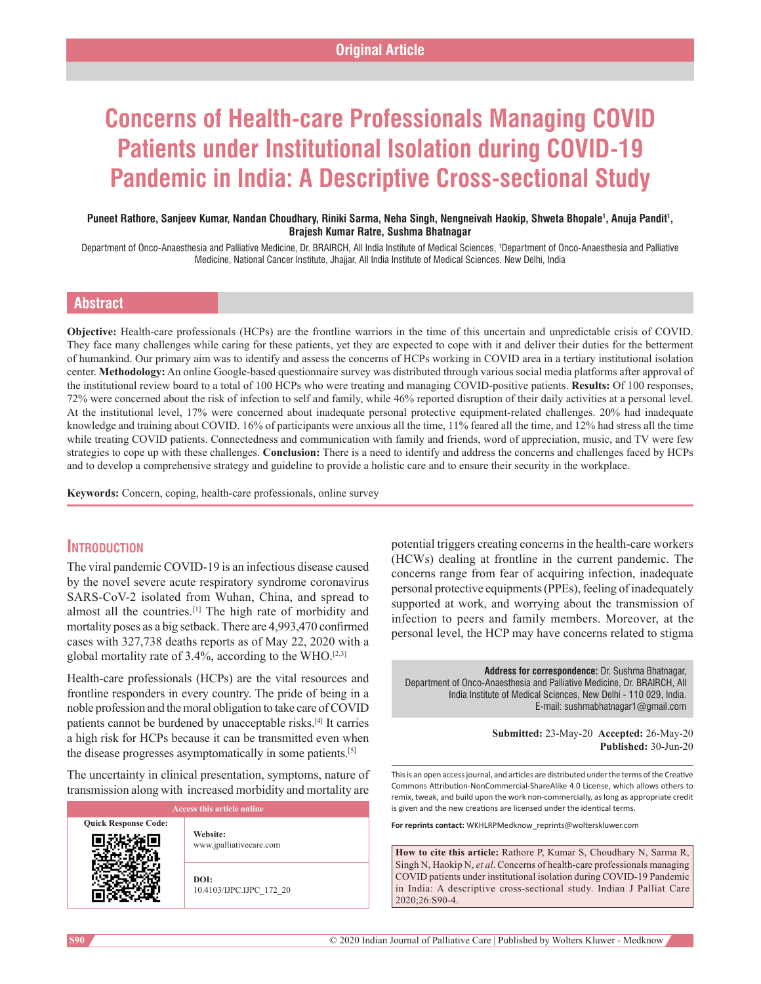# **Concerns of Health‑care Professionals Managing COVID Patients under Institutional Isolation during COVID‑19 Pandemic in India: A Descriptive Cross‑sectional Study**

### Puneet Rathore, Sanjeev Kumar, Nandan Choudhary, Riniki Sarma, Neha Singh, Nengneivah Haokip, Shweta Bhopale<sup>1</sup>, Anuja Pandit<sup>1</sup>, **Brajesh Kumar Ratre, Sushma Bhatnagar**

Department of Onco-Anaesthesia and Palliative Medicine, Dr. BRAIRCH, All India Institute of Medical Sciences, 1 Department of Onco-Anaesthesia and Palliative Medicine, National Cancer Institute, Jhajjar, All India Institute of Medical Sciences, New Delhi, India

### **Abstract**

**Objective:** Health-care professionals (HCPs) are the frontline warriors in the time of this uncertain and unpredictable crisis of COVID. They face many challenges while caring for these patients, yet they are expected to cope with it and deliver their duties for the betterment of humankind. Our primary aim was to identify and assess the concerns of HCPs working in COVID area in a tertiary institutional isolation center. Methodology: An online Google-based questionnaire survey was distributed through various social media platforms after approval of the institutional review board to a total of 100 HCPs who were treating and managing COVID‑positive patients. **Results:** Of 100 responses, 72% were concerned about the risk of infection to self and family, while 46% reported disruption of their daily activities at a personal level. At the institutional level, 17% were concerned about inadequate personal protective equipment-related challenges. 20% had inadequate knowledge and training about COVID. 16% of participants were anxious all the time, 11% feared all the time, and 12% had stress all the time while treating COVID patients. Connectedness and communication with family and friends, word of appreciation, music, and TV were few strategies to cope up with these challenges. **Conclusion:** There is a need to identify and address the concerns and challenges faced by HCPs and to develop a comprehensive strategy and guideline to provide a holistic care and to ensure their security in the workplace.

Keywords: Concern, coping, health-care professionals, online survey

### **Introduction**

The viral pandemic COVID-19 is an infectious disease caused by the novel severe acute respiratory syndrome coronavirus SARS-CoV-2 isolated from Wuhan, China, and spread to almost all the countries.[1] The high rate of morbidity and mortality poses as a big setback. There are 4,993,470 confirmed cases with 327,738 deaths reports as of May 22, 2020 with a global mortality rate of 3.4%, according to the WHO.[2,3]

Health-care professionals (HCPs) are the vital resources and frontline responders in every country. The pride of being in a noble profession and the moral obligation to take care of COVID patients cannot be burdened by unacceptable risks.[4] It carries a high risk for HCPs because it can be transmitted even when the disease progresses asymptomatically in some patients.[5]

The uncertainty in clinical presentation, symptoms, nature of transmission along with increased morbidity and mortality are

| <b>Access this article online</b> |                                     |  |  |  |
|-----------------------------------|-------------------------------------|--|--|--|
| <b>Quick Response Code:</b>       | Website:<br>www.jpalliativecare.com |  |  |  |
|                                   | DOI:<br>10.4103/IJPC.IJPC 172 20    |  |  |  |

potential triggers creating concerns in the health-care workers (HCWs) dealing at frontline in the current pandemic. The concerns range from fear of acquiring infection, inadequate personal protective equipments(PPEs), feeling of inadequately supported at work, and worrying about the transmission of infection to peers and family members. Moreover, at the personal level, the HCP may have concerns related to stigma

**Address for correspondence:** Dr. Sushma Bhatnagar, Department of Onco-Anaesthesia and Palliative Medicine, Dr. BRAIRCH, All India Institute of Medical Sciences, New Delhi - 110 029, India. E-mail: sushmabhatnagar1@gmail.com

> **Submitted:** 23-May-20 **Accepted:** 26-May-20 **Published:** 30-Jun-20

This is an open access journal, and articles are distributed under the terms of the Creative Commons Attribution‑NonCommercial‑ShareAlike 4.0 License, which allows others to remix, tweak, and build upon the work non‑commercially, as long as appropriate credit is given and the new creations are licensed under the identical terms.

**For reprints contact:** WKHLRPMedknow\_reprints@wolterskluwer.com

**How to cite this article:** Rathore P, Kumar S, Choudhary N, Sarma R, Singh N, Haokip N, *et al*. Concerns of health-care professionals managing COVID patients under institutional isolation during COVID-19 Pandemic in India: A descriptive cross-sectional study. Indian J Palliat Care 2020;26:S90-4.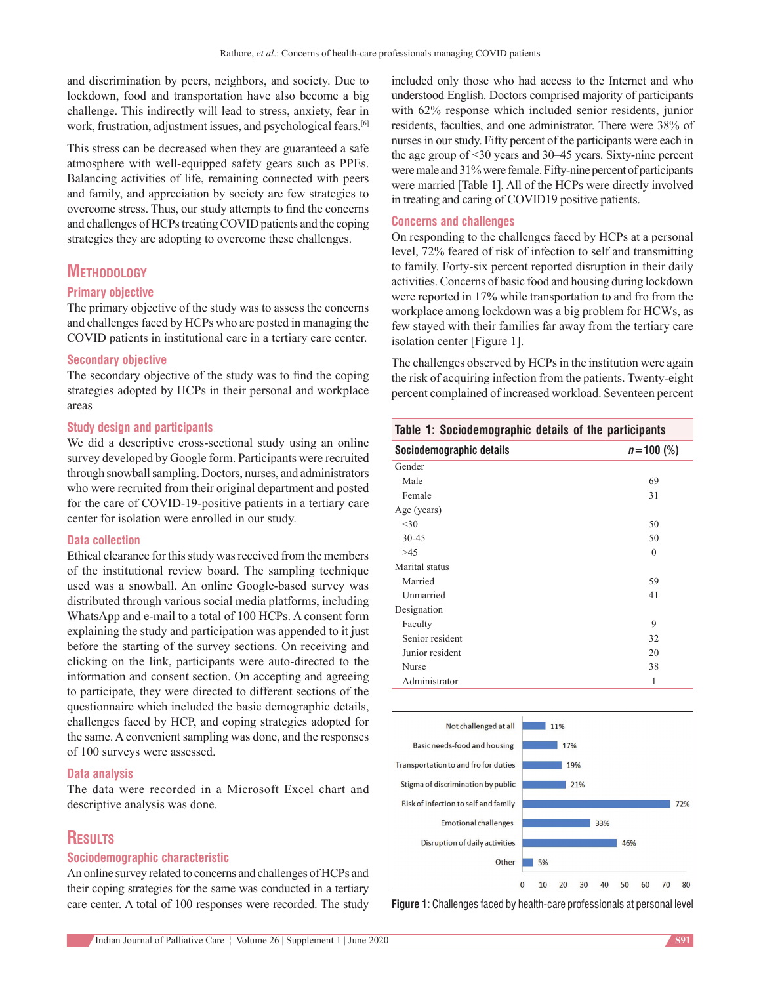and discrimination by peers, neighbors, and society. Due to lockdown, food and transportation have also become a big challenge. This indirectly will lead to stress, anxiety, fear in work, frustration, adjustment issues, and psychological fears.[6]

This stress can be decreased when they are guaranteed a safe atmosphere with well‑equipped safety gears such as PPEs. Balancing activities of life, remaining connected with peers and family, and appreciation by society are few strategies to overcome stress. Thus, our study attempts to find the concerns and challenges of HCPs treating COVID patients and the coping strategies they are adopting to overcome these challenges.

# **Methodology**

### **Primary objective**

The primary objective of the study was to assess the concerns and challenges faced by HCPs who are posted in managing the COVID patients in institutional care in a tertiary care center.

### **Secondary objective**

The secondary objective of the study was to find the coping strategies adopted by HCPs in their personal and workplace areas

### **Study design and participants**

We did a descriptive cross-sectional study using an online survey developed by Google form. Participants were recruited through snowball sampling. Doctors, nurses, and administrators who were recruited from their original department and posted for the care of COVID-19-positive patients in a tertiary care center for isolation were enrolled in our study.

#### **Data collection**

Ethical clearance for this study was received from the members of the institutional review board. The sampling technique used was a snowball. An online Google-based survey was distributed through various social media platforms, including WhatsApp and e‑mail to a total of 100 HCPs. A consent form explaining the study and participation was appended to it just before the starting of the survey sections. On receiving and clicking on the link, participants were auto-directed to the information and consent section. On accepting and agreeing to participate, they were directed to different sections of the questionnaire which included the basic demographic details, challenges faced by HCP, and coping strategies adopted for the same. A convenient sampling was done, and the responses of 100 surveys were assessed.

### **Data analysis**

The data were recorded in a Microsoft Excel chart and descriptive analysis was done.

# **Results**

### **Sociodemographic characteristic**

An online survey related to concerns and challenges of HCPs and their coping strategies for the same was conducted in a tertiary care center. A total of 100 responses were recorded. The study included only those who had access to the Internet and who understood English. Doctors comprised majority of participants with 62% response which included senior residents, junior residents, faculties, and one administrator. There were 38% of nurses in our study. Fifty percent of the participants were each in the age group of  $\leq$ 30 years and 30–45 years. Sixty-nine percent were male and 31% were female. Fifty-nine percent of participants were married [Table 1]. All of the HCPs were directly involved in treating and caring of COVID19 positive patients.

### **Concerns and challenges**

On responding to the challenges faced by HCPs at a personal level, 72% feared of risk of infection to self and transmitting to family. Forty-six percent reported disruption in their daily activities. Concerns of basic food and housing during lockdown were reported in 17% while transportation to and fro from the workplace among lockdown was a big problem for HCWs, as few stayed with their families far away from the tertiary care isolation center [Figure 1].

The challenges observed by HCPs in the institution were again the risk of acquiring infection from the patients. Twenty‑eight percent complained of increased workload. Seventeen percent

| Table 1: Sociodemographic details of the participants |               |  |  |  |
|-------------------------------------------------------|---------------|--|--|--|
| Sociodemographic details                              | $n = 100$ (%) |  |  |  |
| Gender                                                |               |  |  |  |
| Male                                                  | 69            |  |  |  |
| Female                                                | 31            |  |  |  |
| Age (years)                                           |               |  |  |  |
| $<$ 30                                                | 50            |  |  |  |
| $30 - 45$                                             | 50            |  |  |  |
| >45                                                   | $\Omega$      |  |  |  |
| Marital status                                        |               |  |  |  |
| Married                                               | 59            |  |  |  |
| Unmarried                                             | 41            |  |  |  |
| Designation                                           |               |  |  |  |
| Faculty                                               | 9             |  |  |  |
| Senior resident                                       | 32            |  |  |  |
| Junior resident                                       | 20            |  |  |  |
| Nurse                                                 | 38            |  |  |  |
| Administrator                                         | 1             |  |  |  |



**Figure 1:** Challenges faced by health-care professionals at personal level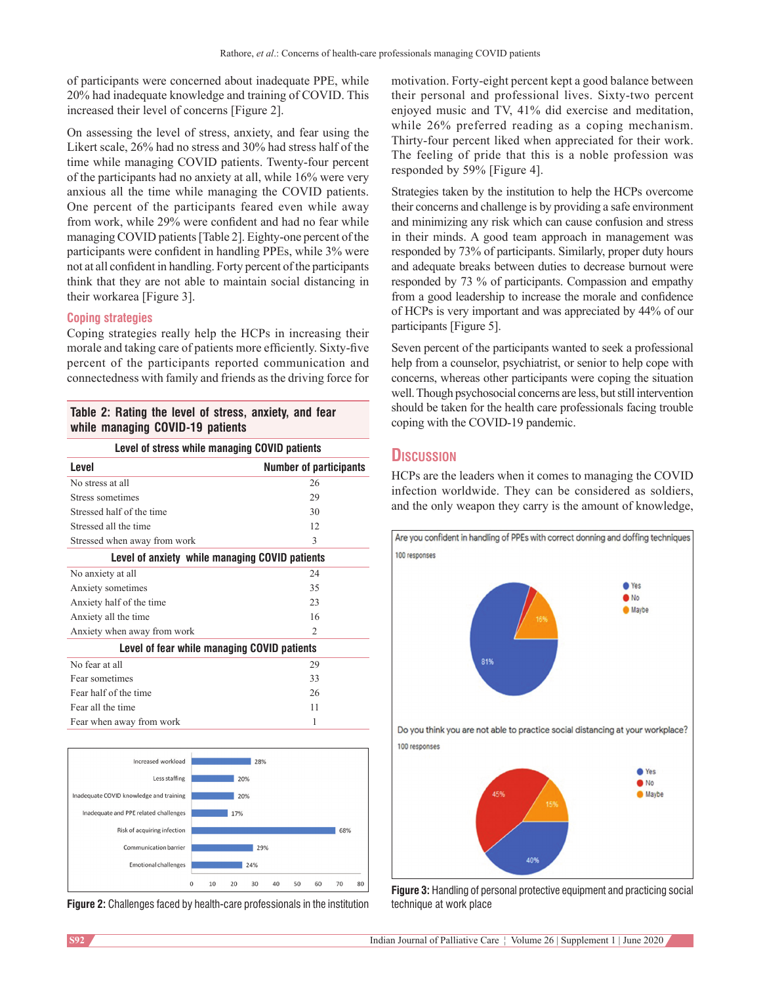of participants were concerned about inadequate PPE, while 20% had inadequate knowledge and training of COVID. This increased their level of concerns [Figure 2].

On assessing the level of stress, anxiety, and fear using the Likert scale, 26% had no stress and 30% had stress half of the time while managing COVID patients. Twenty-four percent of the participants had no anxiety at all, while 16% were very anxious all the time while managing the COVID patients. One percent of the participants feared even while away from work, while 29% were confident and had no fear while managing COVID patients [Table 2]. Eighty-one percent of the participants were confident in handling PPEs, while 3% were not at all confident in handling. Forty percent of the participants think that they are not able to maintain social distancing in their workarea [Figure 3].

### **Coping strategies**

Coping strategies really help the HCPs in increasing their morale and taking care of patients more efficiently. Sixty-five percent of the participants reported communication and connectedness with family and friends as the driving force for

| Table 2: Rating the level of stress, anxiety, and fear |  |  |
|--------------------------------------------------------|--|--|
| while managing COVID-19 patients                       |  |  |

| Level of stress while managing COVID patients  |                               |  |  |  |
|------------------------------------------------|-------------------------------|--|--|--|
| Level                                          | <b>Number of participants</b> |  |  |  |
| No stress at all                               | 26                            |  |  |  |
| Stress sometimes                               | 29                            |  |  |  |
| Stressed half of the time                      | 30                            |  |  |  |
| Stressed all the time                          | 12.                           |  |  |  |
| Stressed when away from work                   | 3                             |  |  |  |
| Level of anxiety while managing COVID patients |                               |  |  |  |
| No anxiety at all                              | 24                            |  |  |  |
| Anxiety sometimes                              | 35                            |  |  |  |
| Anxiety half of the time                       | 23                            |  |  |  |
| Anxiety all the time                           | 16                            |  |  |  |
| Anxiety when away from work                    | $\mathcal{L}$                 |  |  |  |
| Level of fear while managing COVID patients    |                               |  |  |  |
| No fear at all                                 | 29                            |  |  |  |
| Fear sometimes                                 | 33                            |  |  |  |
| Fear half of the time                          | 26                            |  |  |  |
| Fear all the time                              | 11                            |  |  |  |
| Fear when away from work                       | 1                             |  |  |  |



**Figure 2:** Challenges faced by health-care professionals in the institution

motivation. Forty-eight percent kept a good balance between their personal and professional lives. Sixty-two percent enjoyed music and TV, 41% did exercise and meditation, while 26% preferred reading as a coping mechanism. Thirty-four percent liked when appreciated for their work. The feeling of pride that this is a noble profession was responded by 59% [Figure 4].

Strategies taken by the institution to help the HCPs overcome their concerns and challenge is by providing a safe environment and minimizing any risk which can cause confusion and stress in their minds. A good team approach in management was responded by 73% of participants. Similarly, proper duty hours and adequate breaks between duties to decrease burnout were responded by 73 % of participants. Compassion and empathy from a good leadership to increase the morale and confidence of HCPs is very important and was appreciated by 44% of our participants [Figure 5].

Seven percent of the participants wanted to seek a professional help from a counselor, psychiatrist, or senior to help cope with concerns, whereas other participants were coping the situation well. Though psychosocial concerns are less, but still intervention should be taken for the health care professionals facing trouble coping with the COVID-19 pandemic.

### **Discussion**

HCPs are the leaders when it comes to managing the COVID infection worldwide. They can be considered as soldiers, and the only weapon they carry is the amount of knowledge,



**Figure 3:** Handling of personal protective equipment and practicing social technique at work place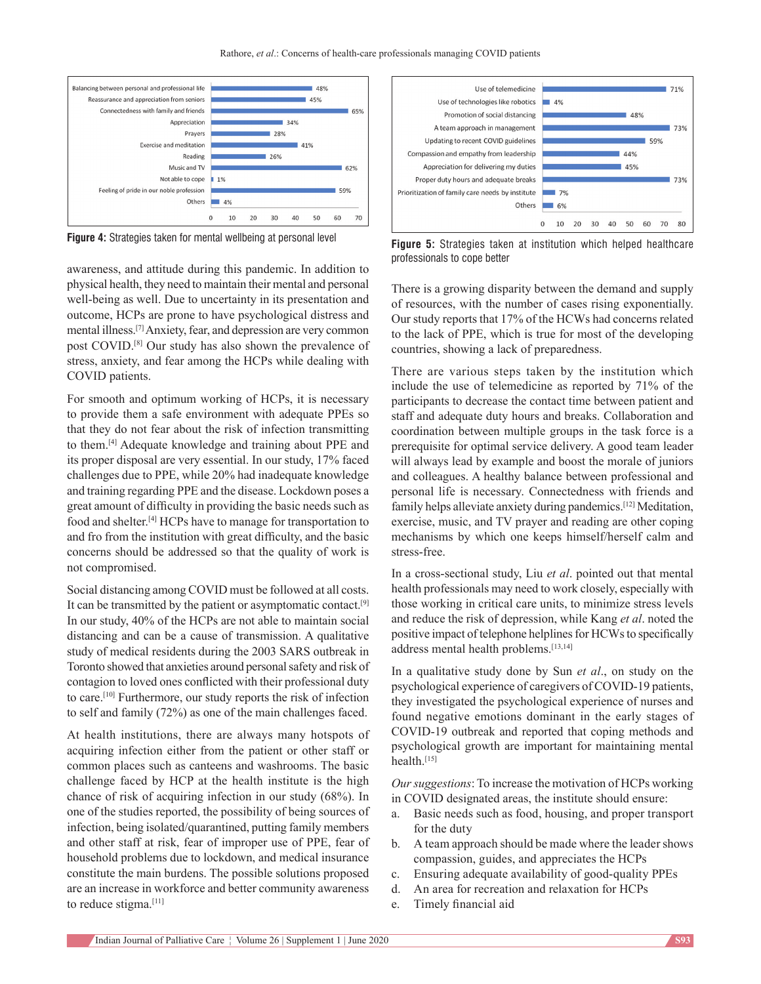

awareness, and attitude during this pandemic. In addition to physical health, they need to maintain their mental and personal well-being as well. Due to uncertainty in its presentation and outcome, HCPs are prone to have psychological distress and mental illness.[7] Anxiety, fear, and depression are very common post COVID.[8] Our study has also shown the prevalence of stress, anxiety, and fear among the HCPs while dealing with COVID patients.

For smooth and optimum working of HCPs, it is necessary to provide them a safe environment with adequate PPEs so that they do not fear about the risk of infection transmitting to them.[4] Adequate knowledge and training about PPE and its proper disposal are very essential. In our study, 17% faced challenges due to PPE, while 20% had inadequate knowledge and training regarding PPE and the disease. Lockdown poses a great amount of difficulty in providing the basic needs such as food and shelter.[4] HCPs have to manage for transportation to and fro from the institution with great difficulty, and the basic concerns should be addressed so that the quality of work is not compromised.

Social distancing among COVID must be followed at all costs. It can be transmitted by the patient or asymptomatic contact.[9] In our study, 40% of the HCPs are not able to maintain social distancing and can be a cause of transmission. A qualitative study of medical residents during the 2003 SARS outbreak in Toronto showed that anxieties around personal safety and risk of contagion to loved ones conflicted with their professional duty to care.[10] Furthermore, our study reports the risk of infection to self and family (72%) as one of the main challenges faced.

At health institutions, there are always many hotspots of acquiring infection either from the patient or other staff or common places such as canteens and washrooms. The basic challenge faced by HCP at the health institute is the high chance of risk of acquiring infection in our study (68%). In one of the studies reported, the possibility of being sources of infection, being isolated/quarantined, putting family members and other staff at risk, fear of improper use of PPE, fear of household problems due to lockdown, and medical insurance constitute the main burdens. The possible solutions proposed are an increase in workforce and better community awareness to reduce stigma.<sup>[11]</sup>



**Figure 4:** Strategies taken for mental wellbeing at personal level **Figure 5:** Strategies taken at institution which helped healthcare professionals to cope better

There is a growing disparity between the demand and supply of resources, with the number of cases rising exponentially. Our study reports that 17% of the HCWs had concerns related to the lack of PPE, which is true for most of the developing countries, showing a lack of preparedness.

There are various steps taken by the institution which include the use of telemedicine as reported by 71% of the participants to decrease the contact time between patient and staff and adequate duty hours and breaks. Collaboration and coordination between multiple groups in the task force is a prerequisite for optimal service delivery. A good team leader will always lead by example and boost the morale of juniors and colleagues. A healthy balance between professional and personal life is necessary. Connectedness with friends and family helps alleviate anxiety during pandemics.<sup>[12]</sup> Meditation, exercise, music, and TV prayer and reading are other coping mechanisms by which one keeps himself/herself calm and stress‑free.

In a cross‑sectional study, Liu *et al*. pointed out that mental health professionals may need to work closely, especially with those working in critical care units, to minimize stress levels and reduce the risk of depression, while Kang *et al*. noted the positive impact of telephone helplines for HCWs to specifically address mental health problems.[13,14]

In a qualitative study done by Sun *et al*., on study on the psychological experience of caregivers of COVID‑19 patients, they investigated the psychological experience of nurses and found negative emotions dominant in the early stages of COVID‑19 outbreak and reported that coping methods and psychological growth are important for maintaining mental health.<sup>[15]</sup>

*Our suggestions*: To increase the motivation of HCPs working in COVID designated areas, the institute should ensure:

- a. Basic needs such as food, housing, and proper transport for the duty
- b. A team approach should be made where the leader shows compassion, guides, and appreciates the HCPs
- c. Ensuring adequate availability of good‑quality PPEs
- d. An area for recreation and relaxation for HCPs
- e. Timely financial aid